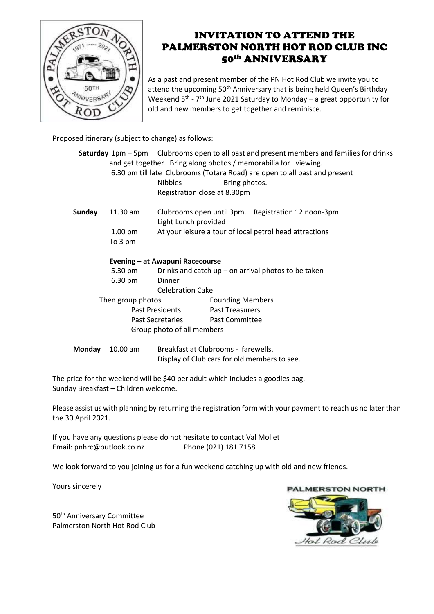

## INVITATION TO ATTEND THE PALMERSTON NORTH HOT ROD CLUB INC 50th ANNIVERSARY

As a past and present member of the PN Hot Rod Club we invite you to attend the upcoming 50<sup>th</sup> Anniversary that is being held Queen's Birthday Weekend  $5^{\text{th}}$  -  $7^{\text{th}}$  June 2021 Saturday to Monday – a great opportunity for old and new members to get together and reminisce.

Proposed itinerary (subject to change) as follows:

|                 |                                 |                                                                            |                                                    |  | Saturday 1pm – 5pm – Clubrooms open to all past and present members and families for drinks |  |  |
|-----------------|---------------------------------|----------------------------------------------------------------------------|----------------------------------------------------|--|---------------------------------------------------------------------------------------------|--|--|
|                 |                                 | and get together. Bring along photos / memorabilia for viewing.            |                                                    |  |                                                                                             |  |  |
|                 |                                 | 6.30 pm till late Clubrooms (Totara Road) are open to all past and present |                                                    |  |                                                                                             |  |  |
|                 |                                 | <b>Nibbles</b><br>Bring photos.                                            |                                                    |  |                                                                                             |  |  |
|                 |                                 | Registration close at 8.30pm                                               |                                                    |  |                                                                                             |  |  |
| Sunday          | 11.30 am                        |                                                                            | Clubrooms open until 3pm. Registration 12 noon-3pm |  |                                                                                             |  |  |
|                 |                                 | Light Lunch provided                                                       |                                                    |  |                                                                                             |  |  |
|                 | $1.00 \text{ pm}$               | At your leisure a tour of local petrol head attractions                    |                                                    |  |                                                                                             |  |  |
|                 | To 3 pm                         |                                                                            |                                                    |  |                                                                                             |  |  |
|                 | Evening - at Awapuni Racecourse |                                                                            |                                                    |  |                                                                                             |  |  |
|                 | 5.30 pm                         | Drinks and catch up – on arrival photos to be taken                        |                                                    |  |                                                                                             |  |  |
|                 | 6.30 pm                         | Dinner                                                                     |                                                    |  |                                                                                             |  |  |
|                 |                                 | <b>Celebration Cake</b>                                                    |                                                    |  |                                                                                             |  |  |
|                 | Then group photos               |                                                                            | <b>Founding Members</b>                            |  |                                                                                             |  |  |
| Past Presidents |                                 |                                                                            | <b>Past Treasurers</b>                             |  |                                                                                             |  |  |
|                 |                                 | Past Secretaries                                                           | <b>Past Committee</b>                              |  |                                                                                             |  |  |
|                 | Group photo of all members      |                                                                            |                                                    |  |                                                                                             |  |  |
| Monday          | 10.00 am                        |                                                                            | Breakfast at Clubrooms - farewells.                |  |                                                                                             |  |  |

Display of Club cars for old members to see.

The price for the weekend will be \$40 per adult which includes a goodies bag. Sunday Breakfast – Children welcome.

Please assist us with planning by returning the registration form with your payment to reach us no later than the 30 April 2021.

If you have any questions please do not hesitate to contact Val Mollet Email: pnhrc@outlook.co.nz Phone (021) 181 7158

We look forward to you joining us for a fun weekend catching up with old and new friends.

Yours sincerely

50<sup>th</sup> Anniversary Committee Palmerston North Hot Rod Club

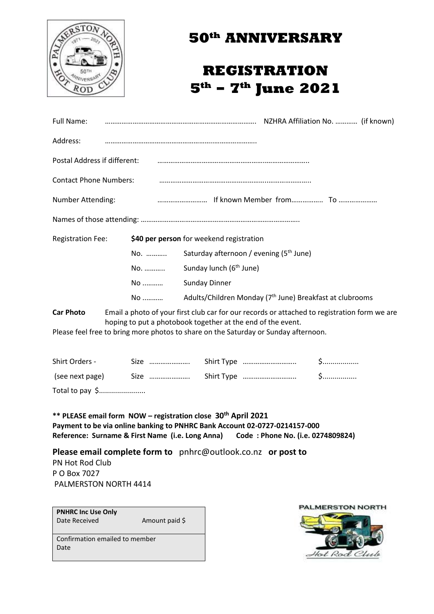

## **50th ANNIVERSARY**

## **REGISTRATION 5th – 7th June 2021**

| Full Name:                    |     |                                                     |                                                                      |  |  |  |  |  |
|-------------------------------|-----|-----------------------------------------------------|----------------------------------------------------------------------|--|--|--|--|--|
| Address:                      |     |                                                     |                                                                      |  |  |  |  |  |
| Postal Address if different:  |     |                                                     |                                                                      |  |  |  |  |  |
| <b>Contact Phone Numbers:</b> |     |                                                     |                                                                      |  |  |  |  |  |
| <b>Number Attending:</b>      |     |                                                     |                                                                      |  |  |  |  |  |
|                               |     |                                                     |                                                                      |  |  |  |  |  |
| <b>Registration Fee:</b>      |     | \$40 per person for weekend registration            |                                                                      |  |  |  |  |  |
|                               | No. | Saturday afternoon / evening (5 <sup>th</sup> June) |                                                                      |  |  |  |  |  |
|                               |     | No.  Sunday lunch (6 <sup>th</sup> June)            |                                                                      |  |  |  |  |  |
|                               | No  | <b>Sunday Dinner</b>                                |                                                                      |  |  |  |  |  |
|                               | No  |                                                     | Adults/Children Monday (7 <sup>th</sup> June) Breakfast at clubrooms |  |  |  |  |  |

**Car Photo** Email a photo of your first club car for our records or attached to registration form we are hoping to put a photobook together at the end of the event.

Please feel free to bring more photos to share on the Saturday or Sunday afternoon.

| Shirt Orders -  |                                                                                                              |  |
|-----------------|--------------------------------------------------------------------------------------------------------------|--|
|                 | (see next page) Size $\ldots$ Size $\ldots$ Shirt Type $\ldots$ $\ldots$ $\ldots$ $\ldots$ $\ldots$ $\ldots$ |  |
| Total to pay \$ |                                                                                                              |  |

**\*\* PLEASE email form NOW – registration close 30th April 2021 Payment to be via online banking to PNHRC Bank Account 02-0727-0214157-000 Reference: Surname & First Name (i.e. Long Anna) Code : Phone No. (i.e. 0274809824)**

**Please email complete form to** [pnhrc@outlook.co.nz](mailto:pnhrc@outlook.co.nz) **or post to**  PN Hot Rod Club P O Box 7027 PALMERSTON NORTH 4414

**PNHRC Inc Use Only** Date Received **Amount paid** \$

Confirmation emailed to member Date

**PALMERSTON NORTH**